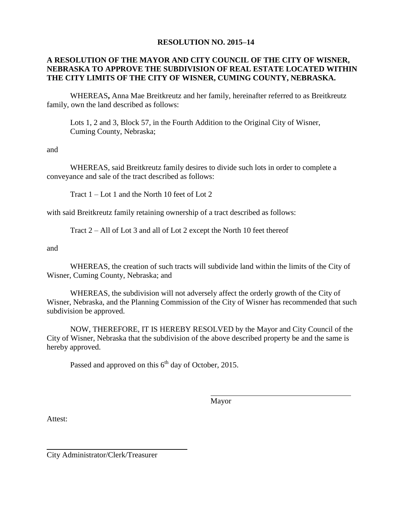## **RESOLUTION NO. 2015–14**

## **A RESOLUTION OF THE MAYOR AND CITY COUNCIL OF THE CITY OF WISNER, NEBRASKA TO APPROVE THE SUBDIVISION OF REAL ESTATE LOCATED WITHIN THE CITY LIMITS OF THE CITY OF WISNER, CUMING COUNTY, NEBRASKA.**

WHEREAS**,** Anna Mae Breitkreutz and her family, hereinafter referred to as Breitkreutz family, own the land described as follows:

Lots 1, 2 and 3, Block 57, in the Fourth Addition to the Original City of Wisner, Cuming County, Nebraska;

and

WHEREAS, said Breitkreutz family desires to divide such lots in order to complete a conveyance and sale of the tract described as follows:

Tract 1 – Lot 1 and the North 10 feet of Lot 2

with said Breitkreutz family retaining ownership of a tract described as follows:

Tract 2 – All of Lot 3 and all of Lot 2 except the North 10 feet thereof

and

WHEREAS, the creation of such tracts will subdivide land within the limits of the City of Wisner, Cuming County, Nebraska; and

WHEREAS, the subdivision will not adversely affect the orderly growth of the City of Wisner, Nebraska, and the Planning Commission of the City of Wisner has recommended that such subdivision be approved.

NOW, THEREFORE, IT IS HEREBY RESOLVED by the Mayor and City Council of the City of Wisner, Nebraska that the subdivision of the above described property be and the same is hereby approved.

Passed and approved on this  $6<sup>th</sup>$  day of October, 2015.

Mayor

Attest:

City Administrator/Clerk/Treasurer